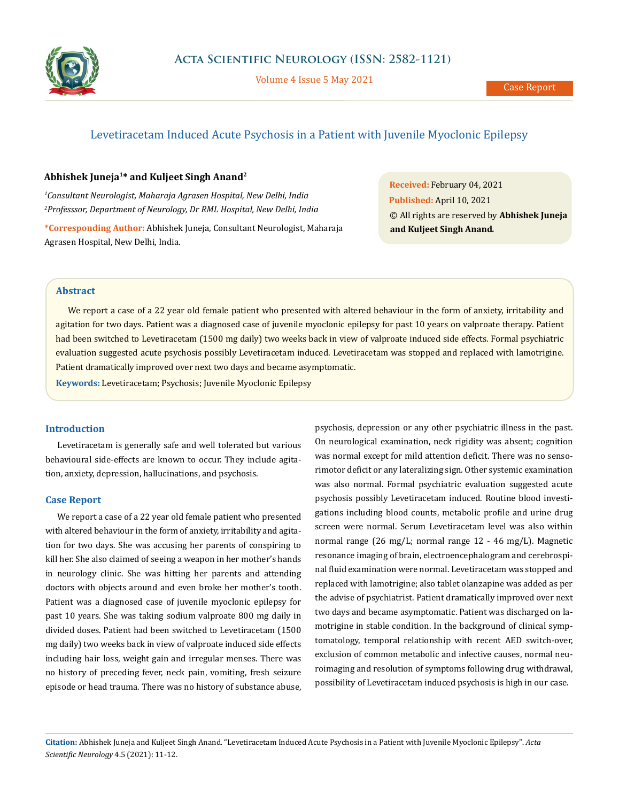

Volume 4 Issue 5 May 2021

# Levetiracetam Induced Acute Psychosis in a Patient with Juvenile Myoclonic Epilepsy

# **Abhishek Juneja1\* and Kuljeet Singh Anand2**

*1 Consultant Neurologist, Maharaja Agrasen Hospital, New Delhi, India 2 Professsor, Department of Neurology, Dr RML Hospital, New Delhi, India*

**\*Corresponding Author:** Abhishek Juneja, Consultant Neurologist, Maharaja Agrasen Hospital, New Delhi, India.

**Received:** February 04, 2021 **Published:** April 10, 2021 © All rights are reserved by **Abhishek Juneja and Kuljeet Singh Anand***.*

## **Abstract**

We report a case of a 22 year old female patient who presented with altered behaviour in the form of anxiety, irritability and agitation for two days. Patient was a diagnosed case of juvenile myoclonic epilepsy for past 10 years on valproate therapy. Patient had been switched to Levetiracetam (1500 mg daily) two weeks back in view of valproate induced side effects. Formal psychiatric evaluation suggested acute psychosis possibly Levetiracetam induced. Levetiracetam was stopped and replaced with lamotrigine. Patient dramatically improved over next two days and became asymptomatic.

**Keywords:** Levetiracetam; Psychosis; Juvenile Myoclonic Epilepsy

# **Introduction**

Levetiracetam is generally safe and well tolerated but various behavioural side-effects are known to occur. They include agitation, anxiety, depression, hallucinations, and psychosis.

## **Case Report**

We report a case of a 22 year old female patient who presented with altered behaviour in the form of anxiety, irritability and agitation for two days. She was accusing her parents of conspiring to kill her. She also claimed of seeing a weapon in her mother's hands in neurology clinic. She was hitting her parents and attending doctors with objects around and even broke her mother's tooth. Patient was a diagnosed case of juvenile myoclonic epilepsy for past 10 years. She was taking sodium valproate 800 mg daily in divided doses. Patient had been switched to Levetiracetam (1500 mg daily) two weeks back in view of valproate induced side effects including hair loss, weight gain and irregular menses. There was no history of preceding fever, neck pain, vomiting, fresh seizure episode or head trauma. There was no history of substance abuse,

psychosis, depression or any other psychiatric illness in the past. On neurological examination, neck rigidity was absent; cognition was normal except for mild attention deficit. There was no sensorimotor deficit or any lateralizing sign. Other systemic examination was also normal. Formal psychiatric evaluation suggested acute psychosis possibly Levetiracetam induced. Routine blood investigations including blood counts, metabolic profile and urine drug screen were normal. Serum Levetiracetam level was also within normal range (26 mg/L; normal range 12 - 46 mg/L). Magnetic resonance imaging of brain, electroencephalogram and cerebrospinal fluid examination were normal. Levetiracetam was stopped and replaced with lamotrigine; also tablet olanzapine was added as per the advise of psychiatrist. Patient dramatically improved over next two days and became asymptomatic. Patient was discharged on lamotrigine in stable condition. In the background of clinical symptomatology, temporal relationship with recent AED switch-over, exclusion of common metabolic and infective causes, normal neuroimaging and resolution of symptoms following drug withdrawal, possibility of Levetiracetam induced psychosis is high in our case.